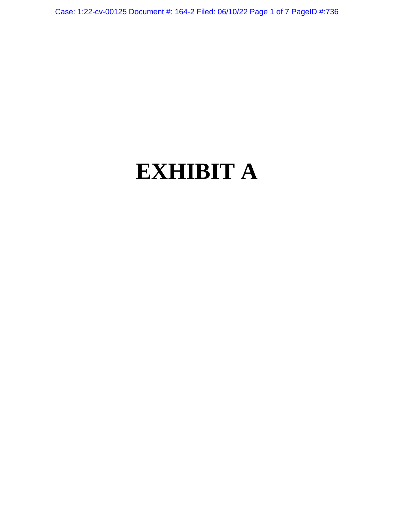Case: 1:22-cv-00125 Document #: 164-2 Filed: 06/10/22 Page 1 of 7 PageID #:736

# **EXHIBIT A**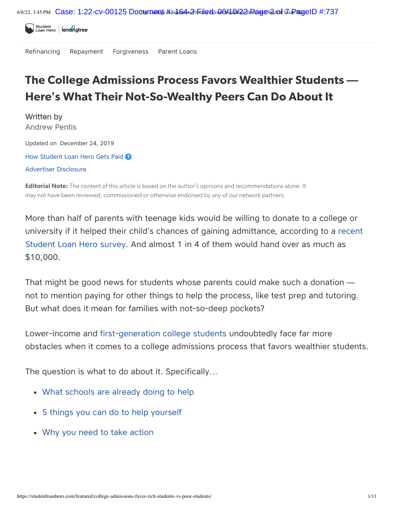

[Refinancing](https://studentloanhero.com/refinancing-and-consolidation/) [Repayment](https://studentloanhero.com/student-loan-repayment/) [Forgiveness](https://studentloanhero.com/student-loan-forgiveness/) [Parent](https://studentloanhero.com/parent-loans/) Loans

# The College Admissions Process Favors Wealthier Students **—** Here**'**s What Their Not-So-Wealthy Peers Can Do About It

Written by [Andrew](https://studentloanhero.com/author/apentis/) Pentis Updated on December 24, 2019 How Student Loan Hero Gets Paid <sup>2</sup> Advertiser Disclosure

**Editorial Note:** The content of this article is based on the author's opinions and recommendations alone. It may not have been reviewed, commissioned or otherwise endorsed by any of our network partners.

More than half of parents with teenage kids would be willing to donate to a college or university if it helped their child's chances of gaining [admittance,](https://studentloanhero.com/blog/parents-willing-donate-money-get-child-into-college/) according to a recent Student Loan Hero survey. And almost 1 in 4 of them would hand over as much as \$10,000.

That might be good news for students whose parents could make such a donation not to mention paying for other things to help the process, like test prep and tutoring. But what does it mean for families with not-so-deep pockets?

Lower-income and [first-generation](https://studentloanhero.com/featured/first-generation-college-student-scholarships-scored-full-ride/) college students undoubtedly face far more obstacles when it comes to a college admissions process that favors wealthier students.

The question is what to do about it. Specifically…

- <span id="page-1-0"></span>What [schools](#page-1-0) are already doing to help
- 5 things you can do to help [yourself](#page-2-0)
- Why you need to take [action](#page-6-0)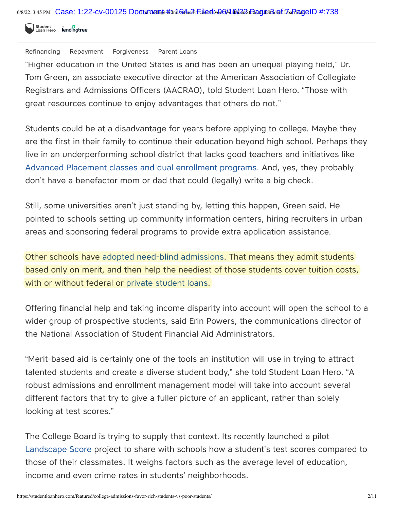Student<br>Loan Hero **lending tree** 

Refinancing [Repayment](https://studentloanhero.com/student-loan-repayment/) [Forgiveness](https://studentloanhero.com/student-loan-forgiveness/) [Parent](https://studentloanhero.com/parent-loans/) Loans

"Higher education in the United States is and has been an unequal playing field," Dr. Tom Green, an associate executive director at the American Association of Collegiate Registrars and Admissions Officers (AACRAO), told Student Loan Hero. "Those with great resources continue to enjoy advantages that others do not."

Students could be at a disadvantage for years before applying to college. Maybe they are the first in their family to continue their education beyond high school. Perhaps they live in an underperforming school district that lacks good teachers and initiatives like Advanced Placement classes and dual [enrollment](https://studentloanhero.com/featured/dual-enrollment-vs-ap-classes/) programs. And, yes, they probably don't have a benefactor mom or dad that could (legally) write a big check.

Still, some universities aren't just standing by, letting this happen, Green said. He pointed to schools setting up community information centers, hiring recruiters in urban areas and sponsoring federal programs to provide extra application assistance.

Other schools have adopted need-blind [admissions](https://studentloanhero.com/featured/prestigious-schools-no-student-loans/). That means they admit students based only on merit, and then help the neediest of those students cover tuition costs, with or without federal or private [student](https://studentloanhero.com/marketplace/private-student-loans/) loans.

Offering financial help and taking income disparity into account will open the school to a wider group of prospective students, said Erin Powers, the communications director of the National Association of Student Financial Aid Administrators.

"Merit-based aid is certainly one of the tools an institution will use in trying to attract talented students and create a diverse student body," she told Student Loan Hero. "A robust admissions and enrollment management model will take into account several different factors that try to give a fuller picture of an applicant, rather than solely looking at test scores."

<span id="page-2-0"></span>The College Board is trying to supply that context. Its recently launched a pilot [Landscape](https://pages.collegeboard.org/landscape?excmpid=vt-00263) Score project to share with schools how a student's test scores compared to those of their classmates. It weighs factors such as the average level of education, income and even crime rates in students' neighborhoods.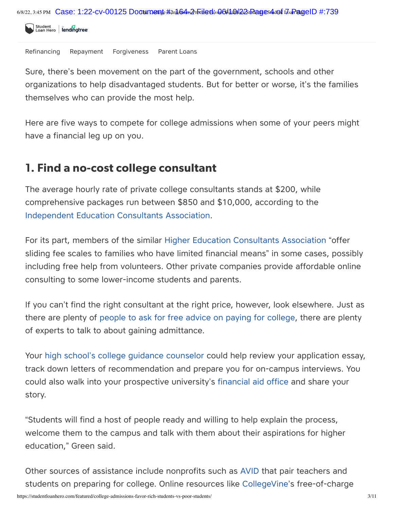

Refinancing Repayment [Forgiveness](https://studentloanhero.com/student-loan-forgiveness/) [Parent](https://studentloanhero.com/parent-loans/) Loans

Sure, there's been movement on the part of the government, schools and other organizations to help disadvantaged students. But for better or worse, it's the families themselves who can provide the most help.

Here are five ways to compete for college admissions when some of your peers might have a financial leg up on you.

## 1. Find a no-cost college consultant

The average hourly rate of private college consultants stands at \$200, while comprehensive packages run between \$850 and \$10,000, according to the [Independent](https://www.iecaonline.com/wp-content/uploads/2018/01/IECA_State-of-Profession-2018.pdf) Education Consultants Association.

For its part, members of the similar Higher Education [Consultants](https://www.hecaonline.org/families) Association "offer sliding fee scales to families who have limited financial means" in some cases, possibly including free help from volunteers. Other private companies provide affordable online consulting to some lower-income students and parents.

If you can't find the right consultant at the right price, however, look elsewhere. Just as there are plenty of people to ask for free advice on paying for [college,](https://studentloanhero.com/featured/advice-paying-for-college/) there are plenty of experts to talk to about gaining admittance.

Your high school's college guidance [counselor](https://studentloanhero.com/featured/questions-ask-school-counselor-applying-college/) could help review your application essay, track down letters of recommendation and prepare you for on-campus interviews. You could also walk into your prospective university's [financial](https://studentloanhero.com/featured/financial-aid-office-dos-donts/) aid office and share your story.

"Students will find a host of people ready and willing to help explain the process, welcome them to the campus and talk with them about their aspirations for higher education," Green said.

Other sources of assistance include nonprofits such as [AVID](https://www.avid.org/) that pair teachers and students on preparing for college. Online resources like [CollegeVine](https://www.collegevine.com/)'s free-of-charge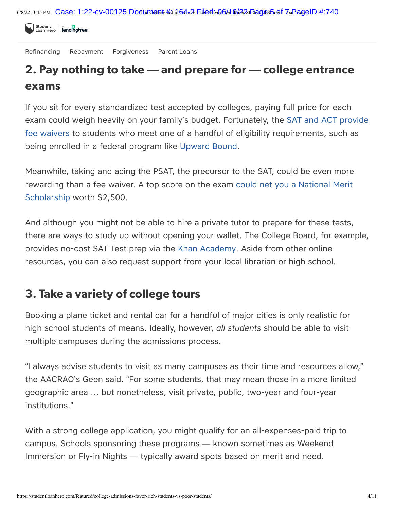

[Refinancing](https://studentloanhero.com/refinancing-and-consolidation/) [Repayment](https://studentloanhero.com/student-loan-repayment/) [Forgiveness](https://studentloanhero.com/student-loan-forgiveness/) [Parent](https://studentloanhero.com/parent-loans/) Loans

## 2. Pay nothing to take **—** and prepare for **—** college entrance exams

If you sit for every standardized test accepted by colleges, paying full price for each exam could weigh heavily on your family's budget. Fortunately, the SAT and ACT provide fee waivers to students who meet one of a handful of eligibility [requirements,](https://studentloanhero.com/featured/act-sat-fee-waiver/) such as being enrolled in a federal program like [Upward](https://www2.ed.gov/programs/trioupbound/index.html) Bound.

Meanwhile, taking and acing the PSAT, the precursor to the SAT, could be even more rewarding than a fee waiver. A top score on the exam could net you a National Merit [Scholarship](https://studentloanhero.com/featured/national-merit-scholarship-how-acing-psat-lead-money/) worth \$2,500.

And although you might not be able to hire a private tutor to prepare for these tests, there are ways to study up without opening your wallet. The College Board, for example, provides no-cost SAT Test prep via the Khan [Academy.](https://www.khanacademy.org/sat) Aside from other online resources, you can also request support from your local librarian or high school.

## 3. Take a variety of college tours

Booking a plane ticket and rental car for a handful of major cities is only realistic for high school students of means. Ideally, however, *all students* should be able to visit multiple campuses during the admissions process.

"I always advise students to visit as many campuses as their time and resources allow," the AACRAO's Geen said. "For some students, that may mean those in a more limited geographic area … but nonetheless, visit private, public, two-year and four-year institutions."

With a strong college application, you might qualify for an all-expenses-paid trip to campus. Schools sponsoring these programs — known sometimes as Weekend Immersion or Fly-in Nights — typically award spots based on merit and need.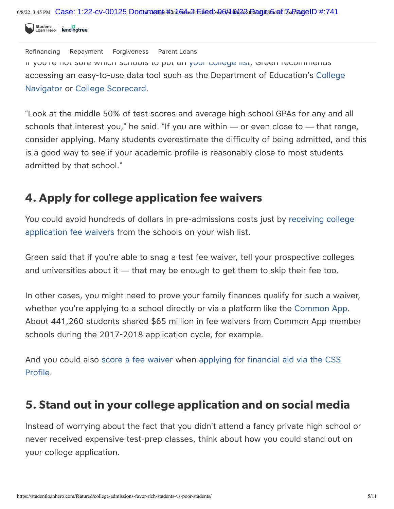Student<br>Loan Hero. | lending tree

[Refinancing](https://studentloanhero.com/refinancing-and-consolidation/) [Repayment](https://studentloanhero.com/student-loan-repayment/) [Forgiveness](https://studentloanhero.com/student-loan-forgiveness/) [Parent](https://studentloanhero.com/parent-loans/) Loans

If you're not sure which schools to put on your [college](https://studentloanhero.com/featured/college-list-how-create-find-perfect-school/) list, Green recommends accessing an [easy-to-use](https://nces.ed.gov/collegenavigator/) data tool such as the Department of Education's College Navigator or College [Scorecard](https://studentloanhero.com/featured/college-scorecard-guide/).

"Look at the middle 50% of test scores and average high school GPAs for any and all schools that interest you," he said. "If you are within — or even close to — that range, consider applying. Many students overestimate the difficulty of being admitted, and this is a good way to see if your academic profile is reasonably close to most students admitted by that school."

#### 4. Apply for college application fee waivers

You could avoid hundreds of dollars in [pre-admissions](https://studentloanhero.com/featured/fee-waiver-college-application/) costs just by receiving college application fee waivers from the schools on your wish list.

Green said that if you're able to snag a test fee waiver, tell your prospective colleges and universities about it — that may be enough to get them to skip their fee too.

In other cases, you might need to prove your family finances qualify for such a waiver, whether you're applying to a school directly or via a platform like the [Common](https://studentloanhero.com/featured/the-common-app-how-saves-time-money-college-application-process/) App. About 441,260 students shared \$65 million in fee waivers from Common App member schools during the 2017-2018 application cycle, for example.

And you could also score a fee [waiver](https://cssprofile.collegeboard.org/pdf/css-profile-fee-waivers.pdf) when [applying](https://studentloanhero.com/featured/css-profile-guide/) for financial aid via the CSS Profile.

#### 5. Stand out in your college application and on social media

Instead of worrying about the fact that you didn't attend a fancy private high school or never received expensive test-prep classes, think about how you could stand out on your college application.